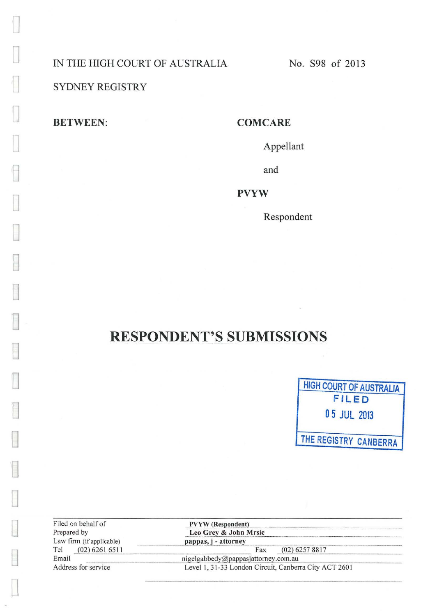IN THE HIGH COURT OF AUSTRALIA No. S98 of 2013

**1** SYDNEY REGISTRY

**BETWEEN: COMCARE** 

J

J

~

**D** 

D

**D** 

~

**D** 

**D** 

**D** 

**D** 

**D** 

**0** 

D

**u** 

**0** 

 $\Box$ 

Appellant

and

**PVYW** 

Respondent

# **RESPONDENT'S SUBMISSIONS**



| Filed on behalf of       |
|--------------------------|
| Prepared by              |
| Law firm (if applicable) |
| (02) 6261 651<br>Tel     |
| Email                    |
| Address for service      |

 $PVYW$  (Respondent) Leo Grey & John Mrsic<br>pappas, j - attorney Fax (02) 6257 8817<br>nigelgabbedy@pappasjattorney.com.au

Level 1, 31-33 London Circuit, Canberra City ACT 2601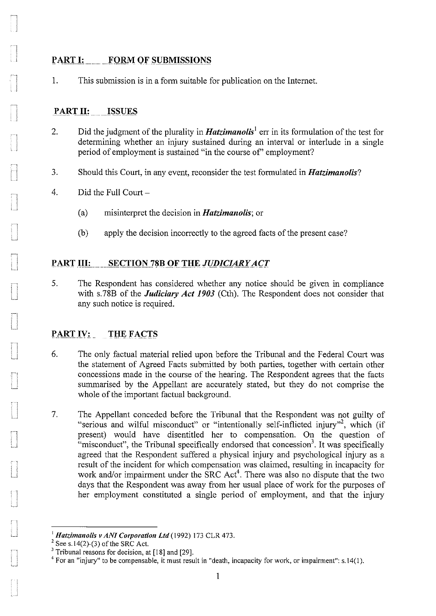#### **PART I: FORM OF SUBMISSIONS**

1. This submission is in a form suitable for publication on the Internet.

#### **PART II: ISSUES**

- 2. Did the judgment of the plurality in *Hatzimanolis*<sup>1</sup> err in its formulation of the test for determining whether an injury sustained during an interval or interlude in a single period of employment is sustained "in the course of' employment?
- 3. Should this Court, in any event, reconsider the test formulated in *Hatzimanolis?*
- 4. Did the Full Court-
	- (a) misinterpret the decision in *Hatzimanolis;* or
	- (b) apply the decision incorrectly to the agreed facts of the present case?

#### PART III: SECTION 78B OF THE JUDICIARY ACT

5. The Respondent has considered whether any notice should be given in compliance with s.78B of the *Judiciary Act 1903* (Cth). The Respondent does not consider that any such notice is required.

## PART IV: THE FACTS

- 6. The only factual material relied upon before the Tribunal and the Federal Court was the statement of Agreed Facts submitted by both parties, together with certain other concessions made in the course of the hearing. The Respondent agrees that the facts summarised by the Appellant are accurately stated, but they do not comprise the whole of the important factual background.
- 7. The Appellant conceded before the Tribunal that the Respondent was not guilty of "serious and wilful misconduct" or "intentionally self-inflicted injury"<sup>2</sup>, which (if present) would have disentitled her to compensation. On the question of "misconduct", the Tribunal specifically endorsed that concession<sup>3</sup>. It was specifically agreed that the Respondent suffered a physical injury and psychological injury as a result of the incident for which compensation was claimed, resulting in incapacity for work and/or impairment under the SRC  $Act<sup>4</sup>$ . There was also no dispute that the two days that the Respondent was away from her usual place of work for the purposes of her employment constituted a single period of employment, and that the injury

<sup>&</sup>lt;sup>1</sup> *Hatzimanolis v ANI Corporation Ltd* (1992) 173 CLR 473.<br><sup>2</sup> See s.14(2)-(3) of the SRC Act.<br><sup>3</sup> Tribunal reasons for decision, at [18] and [29].

 $4$  For an "injury" to be compensable, it must result in "death, incapacity for work, or impairment": s.14(1).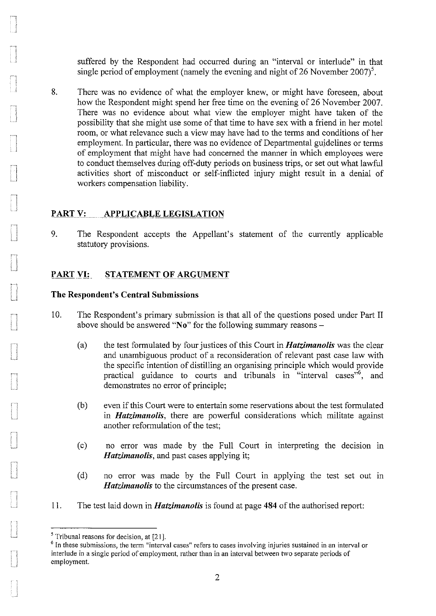suffered by the Respondent had occurred during an "interval or interlude" in that single period of employment (namely the evening and night of 26 November 2007)<sup>5</sup>.

8. There was no evidence of what the employer knew, or might have foreseen, about how the Respondent might spend her free time on the evening of 26 November 2007. There was no evidence about what view the employer might have taken of the possibility that she might use some of that time to have sex with a friend in her motel room, or what relevance such a view may have had to the terms and conditions of her employment. In particular, there was no evidence of Departmental guidelines or terms of employment that might have had concerned the manner in which employees were to conduct themselves during off-duty periods on business trips, or set out what lawful activities short of misconduct or self-inflicted injury might result in a denial of workers compensation liability.

### PART V: APPLICABLE LEGISLATION

9. The Respondent accepts the Appellant's statement of the currently applicable statutory provisions.

#### PART VI: STATEMENT OF ARGUMENT

#### **The Respondent's Central Submissions**

- 10. The Respondent's primary submission is that all of the questions posed under Part II above should be answered **"No"** for the following summary reasons-
	- (a) the test formulated by four justices of this Court in *Hatzimanolis* was the clear and unambiguous product of a reconsideration of relevant past case law with the specific intention of distilling an organising principle which would provide practical guidance to courts and tribunals in "interval cases"<sup>6</sup>, and demonstrates no error of principle;
	- (b) even if this Court were to entertain some reservations about the test formulated in *Hatzimanolis,* there are powerful considerations which militate against another reformulation of the test;
	- (c) no error was made by the Full Court in interpreting the decision in *Hatzimanolis,* and past cases applying it;
	- (d) no error was made by the Full Court in applying the test set out in *Hatzimanolis* to the circumstances of the present case.
- II. The test laid down in *Hatzimanolis* is found at page **484** of the authorised report:

<sup>&</sup>lt;sup>5</sup> Tribunal reasons for decision, at [21].<br><sup>6</sup> In these submissions, the term "interval cases" refers to cases involving injuries sustained in an interval or **interlude in a single period of employment, rather than in an interval between two separate periods of**  employment.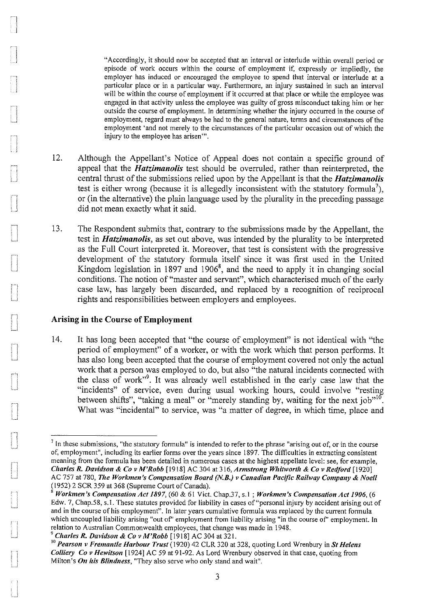"Accordingly, it should now be accepted that an interval or interlude within overall period or episode of work occurs within the course of employment if, expressly or impliedly, the employer has induced or encouraged the employee to spend that interval or interlude at a particular place or in a particular way. Furthermore, an injury sustained in such an interval will be within the course of employment if it occurred at that place or while the employee was **engaged in that activity unless the employee was guilty of gross misconduct taking him or her**  outside the course of employment. In determining whether the injury occurred in the course of **employment, regard must always be had to the general nature, terms and circumstances of the**  employment 'and not merely to the circumstances of the particular occasion out of which the **injury to the employee has arisen"'.** 

- 12. Although the Appellant's Notice of Appeal does not contain a specific ground of appeal that the *Hatzimanolis* test should be overruled, rather than reinterpreted, the central thrust of the submissions relied upon by the Appellant is that the *Hatzimanolis*  test is either wrong (because it is allegedly inconsistent with the statutory formula<sup>7</sup>). or (in the alternative) the plain language used by the plurality in the preceding passage did not mean exactly what it said.
- 13. The Respondent submits that, contrary to the submissions made by the Appellant, the test in *Hatzimanolis,* as set out above, was intended by the plurality to be interpreted as the Full Court interpreted it. Moreover, that test is consistent with the progressive development of the statutory formula itself since it was first used in the United Kingdom legislation in 1897 and 1906<sup>8</sup>, and the need to apply it in changing social conditions. The notion of "master and servant", which characterised much of the early case law, has largely been discarded, and replaced by a recognition of reciprocal rights and responsibilities between employers and employees.

#### **Arising in the Course of Employment**

~1 l I

> 14. It has long been accepted that "the course of employment" is not identical with "the period of employment" of a worker, or with the work which that person performs. It has also long been accepted that the course of employment covered not only the actual work that a person was employed to do, but also "the natural incidents connected with the class of work"<sup>9</sup>. It was already well established in the early case law that the "incidents" of service, even during usual working hours, could involve "resting between shifts", "taking a meal" or "merely standing by, waiting for the next job"<sup>10</sup>. What was "incidental" to service, was "a matter of degree, in which time, place and

<sup>9</sup>*Charles R. Davidson* & *Co v M'Robb* [1918] AC 304 at 321.

<sup>7</sup>**In these submissions, "the statutory formula" is intended to refer to the phrase "arising out of, or in the course**  of, employment", including its earlier forms over the years since 1897. The difficulties in extracting consistent meaning from the formula has been detailed in numerous cases at the highest appellate level: see, for example, *Charles R. Davidson* & *Co v M'Robb* [1918] AC 304 at 316, *Armstrong Whitworth* & *Co v Redford* [1920] AC 757 at 780, *The Workmen's Compensation Board (N.B.) v Canadian Pacific Railway Company* & *Noell*  (1952) 2 SCR 359 at 368 (Supreme Court of Canada).<br><sup>8</sup> *Workmen's Compensation Act 1897,* (60 & 61 Vict. Chap.37, s.1; *Workmen's Compensation Act 1906,* (6

Edw. 7, Chap.58, s.1. These statutes provided for liability in cases of"personal injury by accident arising out of and in the course of his employment". In later years cumulative formula was replaced by the current formula **which uncoupled liability arising "out of' employment from liability arising "in the course of' employment. In**  relation to Australian Commonwealth employees, that change was made in 1948.

<sup>&</sup>lt;sup>10</sup> Pearson v Fremantle Harbour Trust (1920) 42 CLR 320 at 328, quoting Lord Wrenbury in *St Helens Colliery Co v Hewitson* [1924] AC 59 at 91-92. As Lord Wrenbury observed in that case, quoting from Milton's *On his Blindness,* "They also serve who only stand and wait".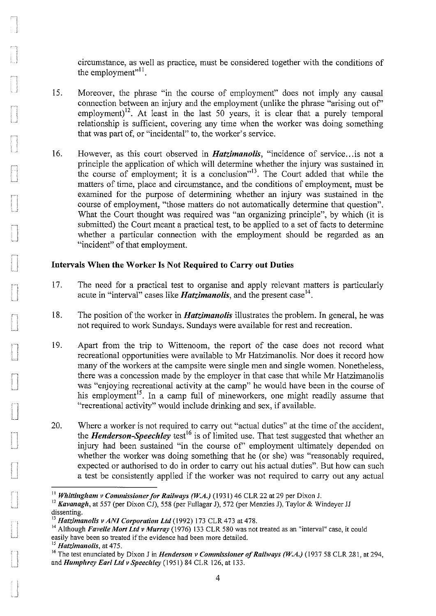circumstance, as well as practice, must be considered together with the conditions of the employment"<sup>11</sup>.

- 15. Moreover, the phrase "in the course of employment" does not imply any causal connection between an injury and the employment (unlike the phrase "arising out of' employment)<sup>12</sup>. At least in the last 50 years, it is clear that a purely temporal relationship is sufficient, covering any time when the worker was doing something that was part of, or "incidental" to, the worker's service.
- 16. However, as this court observed in *Hatzimanolis,* "incidence of service ... is not a principle the application of which will determine whether the injury was sustained in the course of employment; it is a conclusion"<sup>13</sup>. The Court added that while the matters of time, place and circumstance, and the conditions of employment, must be examined for the purpose of determining whether an injury was sustained in the course of employment, "those matters do not automatically determine that question". What the Court thought was required was "an organizing principle", by which (it is submitted) the Court meant a practical test, to be applied to a set of facts to determine whether a particular connection with the employment should be regarded as an "incident" of that employment.

#### Intervals When the Worker Is Not Required to Carry out Duties

- 17. The need for a practical test to organise and apply relevant matters is particularly acute in "interval" cases like **Hatzimanolis**, and the present case<sup>14</sup>.
- 18. The position of the worker in *Hatzimanolis* illustrates the problem. In general, he was not required to work Sundays. Sundays were available for rest and recreation.
- 19. Apart from the trip to Wittenoom, the report of the case does not record what recreational opportunities were available to Mr Hatzimanolis. Nor does it record how many of the workers at the campsite were single men and single women. Nonetheless, there was a concession made by the employer in that case that while Mr Hatzimanolis was "enjoying recreational activity at the camp" he would have been in the course of his employment<sup>15</sup>. In a camp full of mineworkers, one might readily assume that "recreational activity" would include drinking and sex, if available.
- 20. Where a worker is not required to carry out "actual duties" at the time of the accident, the *Henderson-Speechley* test<sup>16</sup> is of limited use. That test suggested that whether an injury had been sustained "in the course of" employment ultimately depended on whether the worker was doing something that he (or she) was "reasonably required, expected or authorised to do in order to carry out his actual duties". But how can such a test be consistently applied if the worker was not required to carry out any actual

<sup>&</sup>lt;sup>11</sup> *Whittingham v Commissioner for Railways (W.A.)* (1931) 46 CLR 22 at 29 per Dixon J.<br><sup>12</sup> *Kavanagh*, at 557 (per Dixon CJ), 558 (per Fullagar J), 572 (per Menzies J), Taylor & Windeyer JJ dissenting.<br><sup>13</sup> Hatzimanolis v ANI Corporation Ltd (1992) 173 CLR 473 at 478.

<sup>&</sup>lt;sup>14</sup> Although *Favelle Mort Ltd v Murray* (1976) 133 CLR 580 was not treated as an "interval" case, it could easily have been so treated if the evidence had been more detailed.

<sup>15</sup>*Hatzimanolis,* **at 475.** 

<sup>&</sup>lt;sup>16</sup> The test enunciated by Dixon J in *Henderson v Commissioner of Railways (W.A.)* (1937 58 CLR 281, at 294, and *Humphrey Earl Ltd v Speechley* (1951) 84 CLR 126, at 133.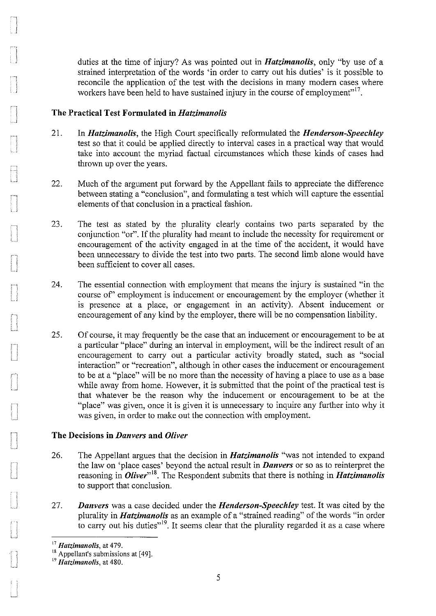duties at the time of injury? As was pointed out in *Hatzimanolis,* only "by use of a strained interpretation of the words 'in order to carry out his duties' is it possible to reconcile the application of the test with the decisions in many modem cases where workers have been held to have sustained injury in the course of employment"<sup>17</sup>.

#### **The Practical Test Formulated in** *Hatzimanolis*

- 21. In *Hatzimanolis,* the High Court specifically reformulated the *Henderson-Speechley*  test so that it could be applied directly to interval cases in a practical way that would take into account the myriad factual circumstances which these kinds of cases had thrown up over the years.
- 22. Much of the argument put forward by the Appellant fails to appreciate the difference between stating a "conclusion", and formulating a test which will capture the essential elements of that conclusion in a practical fashion.
- 23. The test as stated by the plurality clearly contains two parts separated by the conjunction "or". If the plurality had meant to include the necessity for requirement or encouragement of the activity engaged in at the time of the accident, it would have been unnecessary to divide the test into two parts. The second limb alone would have been sufficient to cover all cases.
- 24. The essential connection with employment that means the injury is sustained "in the course of' employment is inducement or encouragement by the employer (whether it is presence at a place, or engagement in an activity). Absent inducement or encouragement of any kind by the employer, there will be no compensation liability.
- 25. Of course, it may frequently be the case that an inducement or encouragement to be at a particular "place" during an interval in employment, will be the indirect result of an encomagement to carry out a particular activity broadly stated, such as "social interaction" or "recreation", although in other cases the inducement or encouragement to be at a "place" will be no more than the necessity of having a place to use as a base while away from home. However, it is submitted that the point of the practical test is that whatever be the reason why the inducement or encouragement to be at the "place" was given, once it is given it is unnecessary to inquire any further into why it was given, in order to make out the connection with employment.

#### **The Decisions in** *Danvers* **and** *Oliver*

- 26. The Appellant argues that the decision in *Hatzimanolis* "was not intended to expand the law on 'place cases' beyond the actual result in *Danvers* or so as to reinterpret the reasoning in *Oliver*<sup>18</sup>. The Respondent submits that there is nothing in *Hatzimanolis* to support that conclusion.
- 27. *Danvers* was a case decided under the *Henderson-Speechley* test. It was cited by the plurality in *Hatzimanolis* as an example of a "strained reading" of the words "in order to carry out his duties" $\frac{19}{19}$ . It seems clear that the plurality regarded it as a case where

<sup>17</sup>*Hatzimano/is,* **at 479.** 

<sup>&</sup>lt;sup>18</sup> Appellant's submissions at [49].<br><sup>19</sup> *Hatzimanolis*, at 480.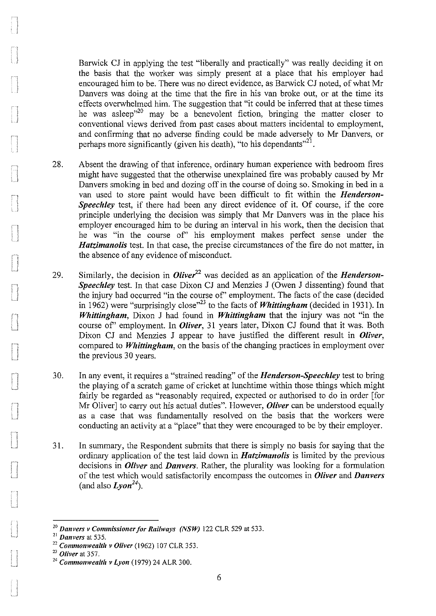Barwick CJ in applying the test "liberally and practically" was really deciding it on the basis that the worker was simply present at a place that his employer had encouraged him to be. There was no direct evidence, as Barwick CJ noted, of what Mr Danvers was doing at the time that the fire in his van broke out, or at the time its effects overwhelmed him. The suggestion that "it could be inferred that at these times he was asleep<sup>"20</sup> may be a benevolent fiction, bringing the matter closer to conventional views derived from past cases about matters incidental to employment, and confirming that no adverse finding could be made adversely to Mr Danvers, or perhaps more significantly (given his death), "to his dependants"<sup>21</sup>.

- 28. Absent the drawing of that inference, ordinary human experience with bedroom fires might have suggested that the otherwise unexplained fire was probably caused by Mr Danvers smoking in bed and dozing off in the course of doing so. Smoking in bed in a van used to store paint would have been difficult to fit within the *Henderson-Speechley* test, if there had been any direct evidence of it. Of course, if the core principle underlying the decision was simply that Mr Danvers was in the place his employer encouraged him to be during an interval in his work, then the decision that he was "in the course of' his employment makes perfect sense under the *Hatzimanolis* test. In that case, the precise circumstances of the fire do not matter, in the absence of any evidence of misconduct.
- 29. Similarly, the decision in *Olive?<sup>2</sup>*was decided as an application of the *Henderson-Speechley* test. In that case Dixon CJ and Menzies J (Owen J dissenting) found that the injury had occurred "in the course of' employment. The facts of the case (decided in 1962) were "surprisingly close"<sup>23</sup> to the facts of *Whittingham* (decided in 1931). In *Whittingham,* Dixon J had found in *Whittingham* that the injury was not "in the course of' employment. In *Oliver,* 31 years later, Dixon CJ found that it was. Both Dixon CJ and Menzies J appear to have justified the different result in *Oliver,*  compared to *Whittingham,* on the basis of the changing practices in employment over the previous 30 years.
- 30. In any event, it requires a "strained reading" of the *Henderson-Speechley* test to bring the playing of a scratch game of cricket at lunchtime within those things which might fairly be regarded as "reasonably required, expected or authorised to do in order [for Mr Oliver] to carry out his actual duties". However, *Oliver* can be understood equally as a case that was fundamentally resolved on the basis that the workers were conducting an activity at a "place" that they were encouraged to be by their employer.
- 31. In summary, the Respondent submits that there is simply no basis for saying that the ordinary application of the test laid down in *Hatzimanolis* is limited by the previous decisions in *Oliver* and *Danvers.* Rather, the plurality was looking for a formulation of the test which would satisfactorily encompass the outcomes in *Oliver* and *Danvers*  (and also  $L$ *von*<sup>24</sup>).

<sup>&</sup>lt;sup>20</sup> Danvers v Commissioner for Railways (NSW) 122 CLR 529 at 533.<br><sup>21</sup> Danvers at 535.

<sup>21</sup>*Danvers* at 535. 22 *Commonwealth v Oliver* (1962) 107 CLR 353. 23 *Oliver* at 357. 24 *Commonwealth v Lyon* (1979) 24 ALR 300.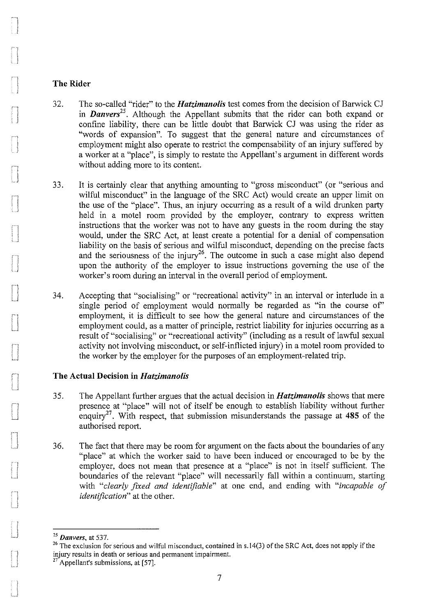#### **The Rider**

- 32. The so-called "rider" to the *Hatzimanolis* test comes from the decision of Barwick CJ in *Danvers*<sup>25</sup>. Although the Appellant submits that the rider can both expand or confine liability, there can be little doubt that Barwick CJ was using the rider as "words of expansion". To suggest that the general nature and circumstances of employment might also operate to restrict the compensability of an injury suffered by a worker at a "place", is simply to restate the Appellant's argument in different words without adding more to its content.
- 33. It is certainly clear that anything amounting to "gross misconduct" (or "serious and wilful misconduct" in the language of the SRC Act) would create an upper limit on the use of the "place". Thus, an injury occurring as a result of a wild drunken party held in a motel room provided by the employer, contrary to express written instructions that the worker was not to have any guests in the room during the stay would, under the SRC Act, at least create a potential for a denial of compensation liability on the basis of serious and wilful misconduct, depending on the precise facts and the seriousness of the injury<sup>26</sup>. The outcome in such a case might also depend upon the authority of the employer to issue instructions governing the use of the worker's room during an interval in the overall period of employment.
- 34. Accepting that "socialising" or "recreational activity" in an interval or interlude in a single period of employment would normally be regarded as "in the course of" employment, it is difficult to see how the general nature and circumstances of the employment could, as a matter of principle, restrict liability for injuries occurring as a result of "socialising" or "recreational activity" (including as a result of lawful sexual activity not involving misconduct, or self-inflicted injury) in a motel room provided to the worker by the employer for the purposes of an employment-related trip.

#### **The Actual Decision in** *Hatzimanolis*

- 35. The Appellant further argues that the actual decision in *Hatzimanolis* shows that mere presence at "place" will not of itself be enough to establish liability without further enquiry<sup>27</sup> . With respect, that submission misunderstands the passage at **485** of the authorised report.
- 36. The fact that there may be room for argument on the facts about the boundaries of any "place" at which the worker said to have been induced or encouraged to be by the employer, does not mean that presence at a "place" is not in itself sufficient. The boundaries of the relevant "place" will necessarily fall within a continuum, starting with *"clearly fzxed and identifiable"* at one end, and ending with *"incapable of identification"* at the other.

<sup>&</sup>lt;sup>25</sup> Danvers, at 537.<br><sup>26</sup> The exclusion for serious and wilful misconduct, contained in s.14(3) of the SRC Act, does not apply if the **injury results in death or serious and windum inisconduct, contained**<br>
<sup>27</sup> Appellant **in the serious and permanent impairment.** 

Appellant's submissions, at [57].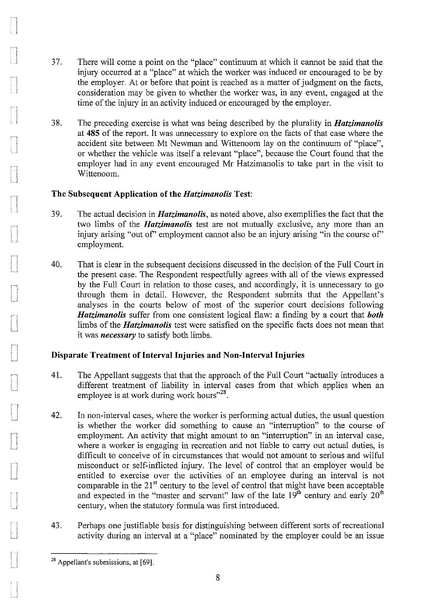- 37. There will come a point on the "place" continuum at which it cannot be said that the injury occurred at a "place" at which the worker was induced or encouraged to be by the employer. At or before that point is reached as a matter of judgment on the facts, consideration may be given to whether the worker was, in any event, engaged at the time of the injury in an activity induced or encouraged by the employer.
- 38. The preceding exercise is what was being described by the plurality in *Hatzimanolis*  at **485** of the report. It was unnecessary to explore on the facts of that case where the accident site between Mt Newman and Wittenoom lay on the continuum of "place", or whether the vehicle was itself a relevant "place", because the Court found that the employer had in any event encouraged Mr Hatzimanolis to take part in the visit to Wittenoom.

#### **The Subsequent Application of the** *Hatzimanolis* **Test:**

- 39. The actual decision in *Hatzimanolis,* as noted above, also exemplifies the fact that the two limbs of the *Hatzimanolis* test are not mutually exclusive, any more than an injury arising "out of" employment cannot also be an injury arising "in the course of" employment.
- 40. That is clear in the subsequent decisions discussed in the decision of the Full Court in the present case. The Respondent respectfully agrees with all of the views expressed by the Full Court in relation to those cases, and accordingly, it is unnecessary to go through them in detail. However, the Respondent submits that the Appellant's analyses in the courts below of most of the superior court decisions following *Hatzimanolis* suffer from one consistent logical flaw: a finding by a court that *both*  limbs of the *Hatzimanolis* test were satisfied on the specific facts does not mean that it was *necessary* to satisfy both limbs.

### **Disparate Treatment of Interval Injuries and Non-Interval Injuries**

- 41. The Appellant suggests that that the approach of the Full Court "actually introduces a different treatment of liability in interval cases from that which applies when an employee is at work during work hours"<sup>28</sup>.
- 42. In non-interval cases, where the worker is performing actual duties, the usual question is whether the worker did something to cause an "interruption" to the course of employment. An activity that might amount to an "interruption" in an interval case, where a worker is engaging in recreation and not liable to carry out actual duties, is difficult to conceive of in circumstances that would not amount to serious and wilful misconduct or self-inflicted injury. The level of control that an employer would be entitled to exercise over the activities of an employee during an interval is not comparable in the  $21<sup>st</sup>$  century to the level of control that might have been acceptable and expected in the "master and servant" law of the late  $19<sup>th</sup>$  century and early  $20<sup>th</sup>$ century, when the statutory formula was first introduced.
- 43. Perhaps one justifiable basis for distinguishing between different sorts of recreational activity during an interval at a "place" nominated by the employer could be an issue

<sup>&</sup>lt;sup>28</sup> Appellant's submissions, at [69].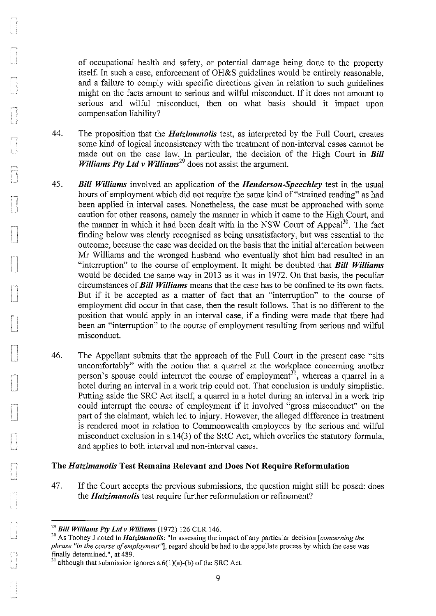of occupational health and safety, or potential damage being done to the property itself. In such a case, enforcement of OH&S guidelines would be entirely reasonable, and a failure to comply with specific directions given in relation to such guidelines might on the facts amount to serious and wilful misconduct. If it does not amount to serious and wilful misconduct, then on what basis should it impact upon compensation liability?

- 44. The proposition that the *Hatzimanolis* test, as interpreted by the Full Court, creates some kind of logical inconsistency with the treatment of non-interval cases cannot be made out on the case law. In particular, the decision of the High Court in *Bill Williams Pty Ltd v Williams*<sup>29</sup> does not assist the argument.
- 45. *Bill Williams* involved an application of the *Henderson-Speechley* test in the usual hours of employment which did not require the same kind of "strained reading" as had been applied in interval cases. Nonetheless, the case must be approached with some caution for other reasons, namely the manner in which it came to the High Court, and the manner in which it had been dealt with in the NSW Court of Appeal<sup>30</sup>. The fact finding below was clearly recognised as being unsatisfactory, but was essential to the outcome, because the case was decided on the basis that the initial altercation between Mr Williams and the wronged husband who eventually shot him had resulted in an "interruption" to the course of employment. It might be doubted that *Bill Williams*  would be decided the same way in 2013 as it was in 1972. On that basis, the peculiar circumstances of *Bill Williams* means that the case has to be confined to its own facts. But if it be accepted as a matter of fact that an "interruption" to the course of employment did occur in that case, then the result follows. That is no different to the position that would apply in an interval case, if a finding were made that there had been an "interruption" to the course of employment resulting from serious and wilful misconduct.
- 46. The Appellant submits that the approach of the Full Court in the present case "sits uncomfortably" with the notion that a quarrel at the workplace concerning another person's spouse could interrupt the course of employment<sup>31</sup>, whereas a quarrel in a hotel during an interval in a work trip could not. That conclusion is unduly simplistic. Putting aside the SRC Act itself, a quarrel in a hotel during an interval in a work trip could interrupt the course of employment if it involved "gross misconduct" on the part of the claimant, which led to injury. However, the alleged difference in treatment is rendered moot in relation to Commonwealth employees by the serious and wilful misconduct exclusion in s.l4(3) of the SRC Act, which overlies the statutory formula, and applies to both interval and non-interval cases.

#### The *Hatzimanolis* Test Remains Relevant and Does Not Require Reformulation

47. If the Court accepts the previous submissions, the question might still be posed: does the *Hatzimanolis* test require further reformulation or refinement?

<sup>&</sup>lt;sup>29</sup> Bill Williams Pty Ltd v Williams (1972) 126 CLR 146.<br><sup>30</sup> As Toohey J noted in *Hatzimanolis*: "In assessing the impact of any particular decision *[concerning the phrase "in the course of employment"*], regard should be had to the appellate process by which the case was finally determined.", at 489.

 $31$  although that submission ignores s.6(1)(a)-(b) of the SRC Act.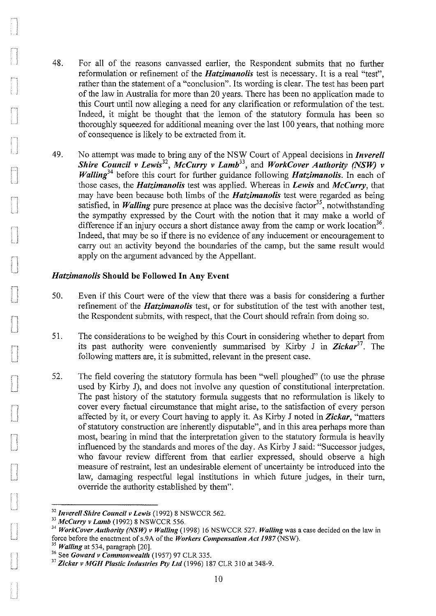- 48. For all of the reasons canvassed earlier, the Respondent submits that no further reformulation or refinement of the *Hatzimanolis* test is necessary. It is a real "test", rather than the statement of a "conclusion". Its wording is clear. The test has been part of the law in Australia for more than 20 years. There has been no application made to this Court until now alleging a need for any clarification or reformulation of the test. Indeed, it might be thought that the lemon of the statutory formula has been so thoroughly squeezed for additional meaning over the last 100 years, that nothing more of consequence is likely to be extracted from it.
- 49. No attempt was made to bring any of the NSW Court of Appeal decisions in *Inverell Shire Council v Lewis<sup>32</sup> , McCurry v Lamb<sup>33</sup> ,* and *WorkCover Authority (NSW) v Walling*<sup>34</sup> before this court for further guidance following *Hatzimanolis*. In each of those cases, the *Hatzimanolis* test was applied. Whereas in *Lewis* and *McCurry,* that may have been because both limbs of the *Hatzimanolis* test were regarded as being satisfied, in *Walling* pure presence at place was the decisive factor<sup>35</sup>, notwithstanding the sympathy expressed by the Court with the notion that it may make a world of difference if an injury occurs a short distance away from the camp or work location<sup>36</sup>. Indeed, that may be so if there is no evidence of any inducement or encouragement to carry out an activity beyond the boundaries of the camp, but the same result would apply on the argument advanced by the Appellant.

#### *Hatzimanolis* Should be Followed In Any Event

- 50. Even if this Court were of the view that there was a basis for considering a further refinement of the *Hatzimanolis* test, or for substitution of the test with another test, the Respondent submits, with respect, that the Court should refrain from doing so.
- 51. The considerations to be weighed by this Court in considering whether to depart from its past authority were conveniently summarised by Kirby J in *Zickar<sup>37</sup> •* The following matters are, it is submitted, relevant in the present case.
- 52. The field covering the statutory formula has been "well ploughed" (to use the phrase used by Kirby J), and does not involve any question of constitutional interpretation. The past history of the statutory formula suggests that no reformulation is likely to cover every factual circumstance that might arise, to the satisfaction of every person affected by it, or every Court having to apply it. As Kirby J noted in *Zickar,* "matters of statutory construction are inherently disputable", and in this area perhaps more than most, bearing in mind that the interpretation given to the statutory formula is heavily influenced by the standards and mores of the day. As Kirby J said: "Successor judges, who favour review different from that earlier expressed, should observe a high measure of restraint, lest an undesirable element of uncertainty be introduced into the law, damaging respectful legal institutions in which future judges, in their turn, override the authority established by them".

<sup>&</sup>lt;sup>32</sup> Inverell Shire Council v Lewis (1992) 8 NSWCCR 562.<br><sup>33</sup> *McCurry v Lamb* (1992) 8 NSWCCR 556.<br><sup>34</sup> *WorkCover Authority (NSW) v Walling* (1998) 16 NSWCCR 527. *Walling* was a case decided on the law in force before t

<sup>&</sup>lt;sup>35</sup> Walling at 534, paragraph [20].<br><sup>36</sup> See *Goward v Commonwealth* (1957) 97 CLR 335.<br><sup>37</sup> Zickar v MGH Plastic Industries Pty Ltd (1996) 187 CLR 310 at 348-9.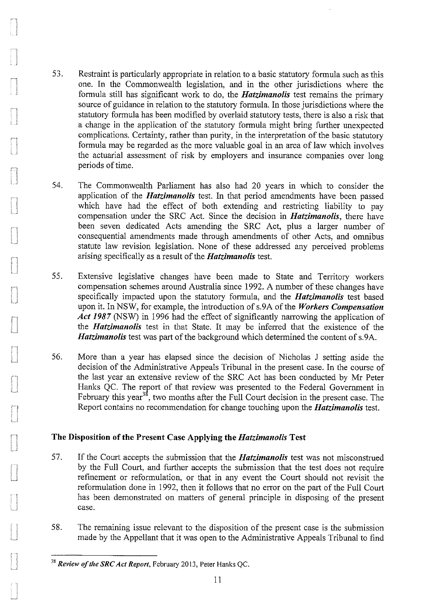- 53. Restraint is particularly appropriate in relation to a basic statutory formula such as this one. In the Commonwealth legislation, and in the other jurisdictions where the formula still has significant work to do, the *Hatzimanolis* test remains the primary source of guidance in relation to the statutory formula. In those jurisdictions where the statutory formula has been modified by overlaid statutory tests, there is also a risk that a change in the application of the statutory formula might bring further unexpected complications. Certainty, rather than purity, in the interpretation of the basic statutory formula may be regarded as the more valuable goal in an area of law which involves the actuarial assessment of risk by employers and insurance companies over long periods of time.
- 54. The Commonwealth Parliament has also had 20 years in which to consider the application of the *Hatzimanolis* test. In that period amendments have been passed which have had the effect of both extending and restricting liability to pay compensation under the SRC Act. Since the decision in *Hatzimanolis,* there have been seven dedicated Acts amending the SRC Act, plus a larger number of consequential amendments made through amendments of other Acts, and omnibus statute law revision legislation. None of these addressed any perceived problems arising specifically as a result of the *Hatzimanolis* test.
- 55. Extensive legislative changes have been made to State and Territory workers compensation schemes around Australia since 1992. A number of these changes have specifically impacted upon the statutory formula, and the *Hatzimanolis* test based upon it. In NSW, for example, the introduction of s.9A of the *Workers Compensation Act 1987* (NSW) in 1996 had the effect of significantly narrowing the application of the *Hatzimanolis* test in that State. It may be inferred that the existence of the *Hatzimanolis* test was part of the background which determined the content of s.9A.
- 56. More than a year has elapsed since the decision of Nicholas J setting aside the decision of the Administrative Appeals Tribunal in the present case. In the course of the last year an extensive review of the SRC Act has been conducted by Mr Peter Hanks QC. The report of that review was presented to the Federal Government in February this year<sup>38</sup>, two months after the Full Court decision in the present case. The Report contains no recommendation for change touching upon the *Hatzimanolis* test.

### The Disposition of the Present Case Applying the *Hatzimanolis* Test

- 57. If the Court accepts the submission that the *Hatzimanolis* test was not misconstrued by the Full Court, and further accepts the submission that the test does not require refinement or reformulation, or that in any event the Court should not revisit the reformulation done in 1992, then it follows that no error on the part of the Full Court has been demonstrated on matters of general principle in disposing of the present case.
- 58. The remaining issue relevant to the disposition of the present case is the submission made by the Appellant that it was open to the Administrative Appeals Tribunal to find

<sup>&</sup>lt;sup>38</sup> Review of the SRC Act Report, February 2013, Peter Hanks QC.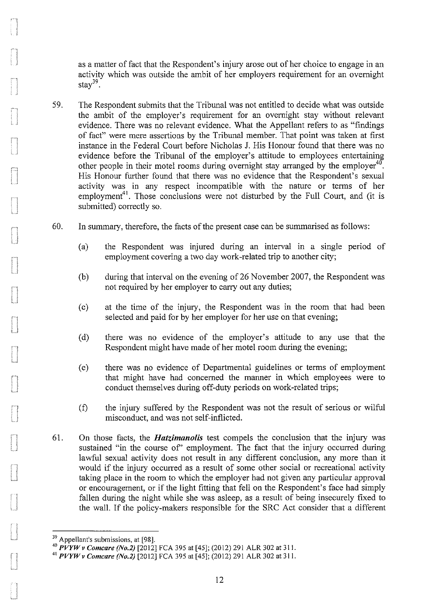as a matter of fact that the Respondent's injury arose out of her choice to engage in an activity which was outside the ambit of her employers requirement for an overnight stay $39$ .

- 59. The Respondent submits that the Tribunal was not entitled to decide what was outside the ambit of the employer's requirement for an overnight stay without relevant evidence. There was no relevant evidence. What the Appellant refers to as "findings of fact" were mere assertions by the Tribunal member. That point was taken at first instance in the Federal Court before Nicholas J. His Honour found that there was no evidence before the Tribunal of the employer's attitude to employees entertaining other people in their motel rooms during overnight stay arranged by the employer<sup>40</sup>. His Honour further found that there was no evidence that the Respondent's sexual activity was in any respect incompatible with the nature or terms of her employment<sup>41</sup>. Those conclusions were not disturbed by the Full Court, and (it is submitted) correctly so.
- 60. In summary, therefore, the facts of the present case can be summarised as follows:
	- (a) the Respondent was injured during an interval in a single period of employment covering a two day work-related trip to another city;
	- (b) during that interval on the evening of26 November 2007, the Respondent was not required by her employer to cany out any duties;
	- (c) at the time of the injury, the Respondent was in the room that had been selected and paid for by her employer for her use on that evening;
	- (d) there was no evidence of the employer's attitude to any use that the Respondent might have made of her motel room during the evening;
	- (e) there was no evidence of Departmental guidelines or terms of employment that might have had concerned the manner in which employees were to conduct themselves during off-duty periods on work-related trips;
	- (f) the injury suffered by the Respondent was not the result of serious or wilful misconduct, and was not self-inflicted.
- 61. On those facts, the *Hatzimanolis* test compels the conclusion that the injury was sustained "in the course of" employment. The fact that the injury occurred during lawful sexual activity does not result in any different conclusion, any more than it would if the injury occuned as a result of some other social or recreational activity taking place in the room to which the employer had not given any particular approval or encouragement, or if the light fitting that fell on the Respondent's face had simply fallen during the night while she was asleep, as a result of being insecurely fixed to the wall. If the policy-makers responsible for the SRC Act consider that a different

<sup>&</sup>lt;sup>39</sup> Appellant's submissions, at [98].

<sup>40</sup>*PVYWv Comcare (No.2)* [2012] FCA 395 at[45]; (2012) 291 ALR 302 at 311. 41 *PVYWv Comcare (No.2)* [2012] FCA 395 at [45]; (2012) 291 ALR 302 at 311.